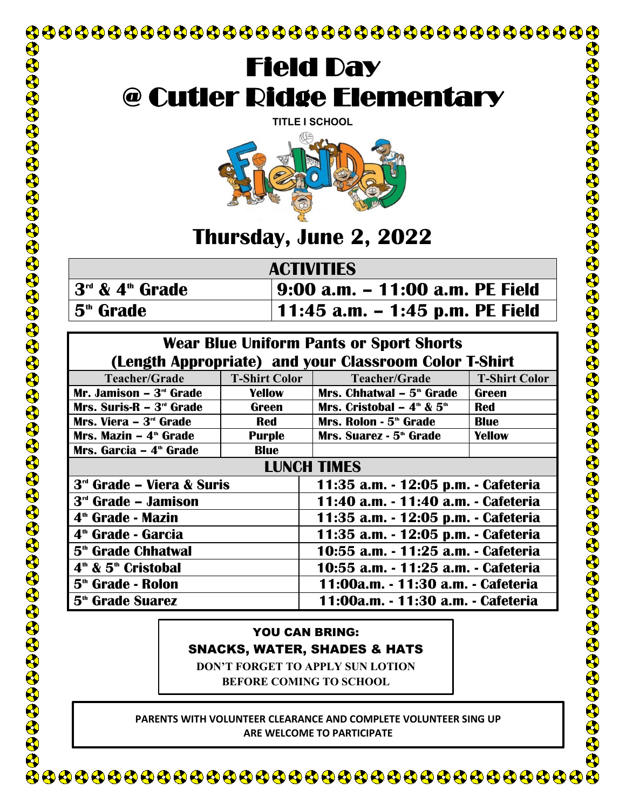

**PARENTS WITH VOLUNTEER CLEARANCE AND COMPLETE VOLUNTEER SING UP ARE WELCOME TO PARTICIPATE**